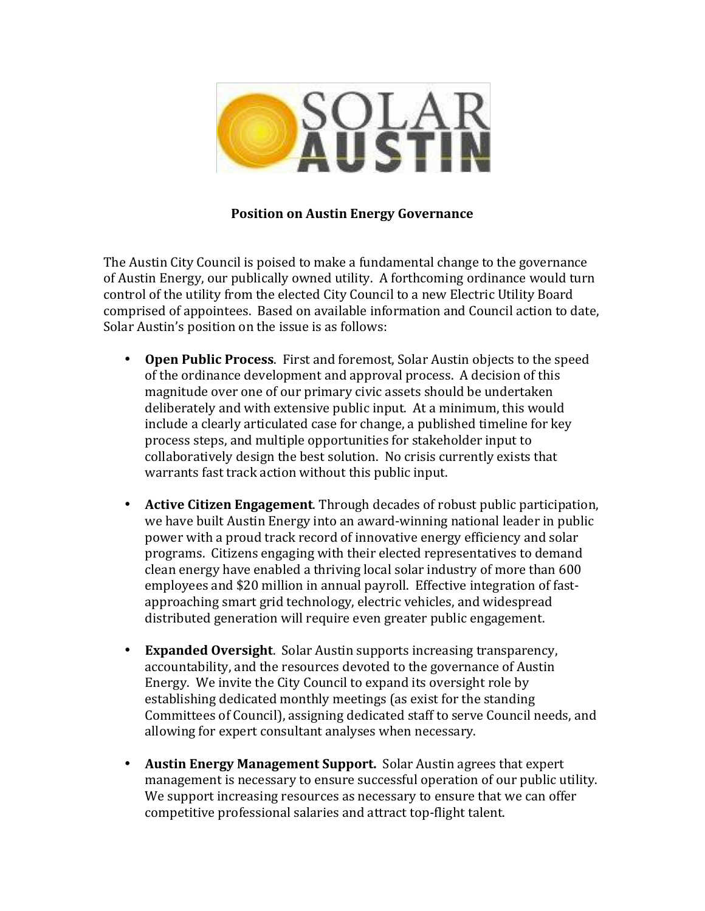

## **Position on Austin Energy Governance**

The Austin City Council is poised to make a fundamental change to the governance of Austin Energy, our publically owned utility. A forthcoming ordinance would turn control of the utility from the elected City Council to a new Electric Utility Board comprised of appointees. Based on available information and Council action to date, Solar Austin's position on the issue is as follows:

- **Open Public Process**. First and foremost, Solar Austin objects to the speed of the ordinance development and approval process. A decision of this magnitude over one of our primary civic assets should be undertaken deliberately and with extensive public input. At a minimum, this would include a clearly articulated case for change, a published timeline for key process steps, and multiple opportunities for stakeholder input to collaboratively design the best solution. No crisis currently exists that warrants fast track action without this public input.
- Active Citizen Engagement. Through decades of robust public participation, we have built Austin Energy into an award-winning national leader in public power with a proud track record of innovative energy efficiency and solar programs. Citizens engaging with their elected representatives to demand clean energy have enabled a thriving local solar industry of more than 600 employees and \$20 million in annual payroll. Effective integration of fastapproaching smart grid technology, electric vehicles, and widespread distributed generation will require even greater public engagement.
- **Expanded Oversight**. Solar Austin supports increasing transparency, accountability, and the resources devoted to the governance of Austin Energy. We invite the City Council to expand its oversight role by establishing dedicated monthly meetings (as exist for the standing Committees of Council), assigning dedicated staff to serve Council needs, and allowing for expert consultant analyses when necessary.
- Austin Energy Management Support. Solar Austin agrees that expert management is necessary to ensure successful operation of our public utility. We support increasing resources as necessary to ensure that we can offer competitive professional salaries and attract top-flight talent.